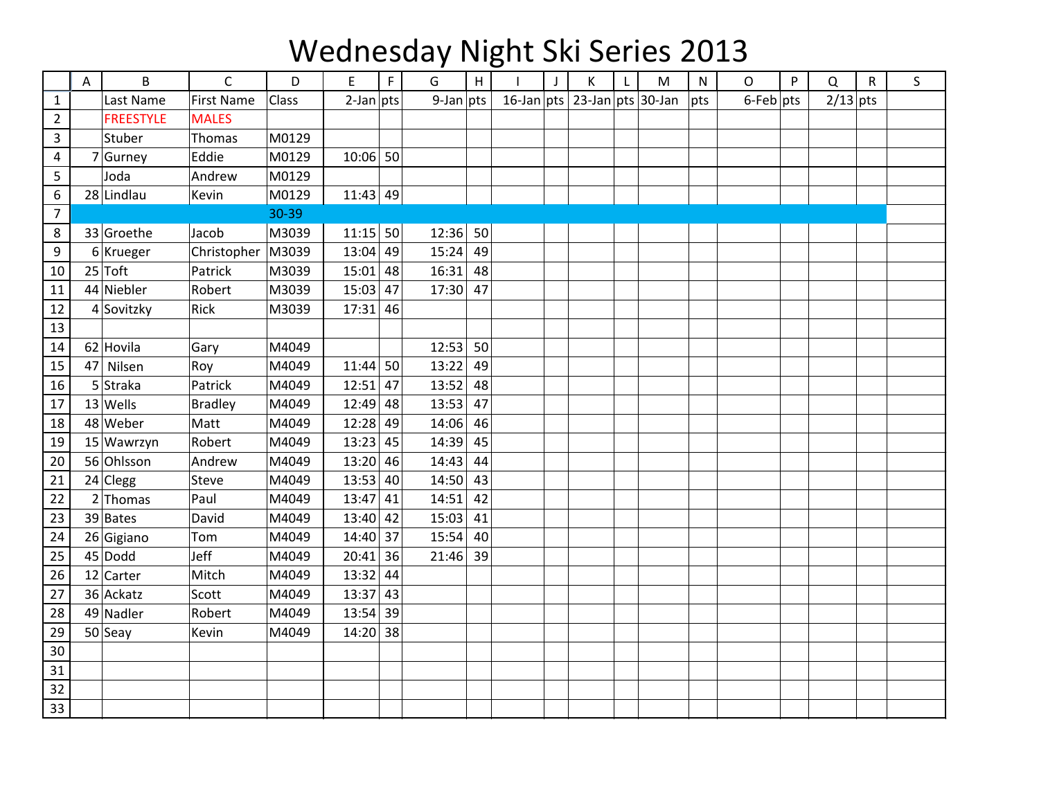## Wednesday Night Ski Series 2013

|                | Α  | $\sf B$          | $\mathsf C$       | D     | E            | $\mathsf F$ | G            | H  |                              | J | К | $\mathsf{L}$ | M | ${\sf N}$ | O            | P | Q          | $\mathsf{R}$ | $\mathsf S$ |
|----------------|----|------------------|-------------------|-------|--------------|-------------|--------------|----|------------------------------|---|---|--------------|---|-----------|--------------|---|------------|--------------|-------------|
| $\mathbf{1}$   |    | Last Name        | <b>First Name</b> | Class | $2$ -Jan pts |             | $9$ -Jan pts |    | 16-Jan pts 23-Jan pts 30-Jan |   |   |              |   | pts       | $6$ -Feb pts |   | $2/13$ pts |              |             |
| $\overline{2}$ |    | <b>FREESTYLE</b> | <b>MALES</b>      |       |              |             |              |    |                              |   |   |              |   |           |              |   |            |              |             |
| 3              |    | Stuber           | Thomas            | M0129 |              |             |              |    |                              |   |   |              |   |           |              |   |            |              |             |
| $\overline{4}$ |    | 7 Gurney         | Eddie             | M0129 | $10:06$ 50   |             |              |    |                              |   |   |              |   |           |              |   |            |              |             |
| 5              |    | Joda             | Andrew            | M0129 |              |             |              |    |                              |   |   |              |   |           |              |   |            |              |             |
| 6              |    | 28 Lindlau       | Kevin             | M0129 | $11:43$ 49   |             |              |    |                              |   |   |              |   |           |              |   |            |              |             |
| $\overline{7}$ |    |                  |                   | 30-39 |              |             |              |    |                              |   |   |              |   |           |              |   |            |              |             |
| 8              |    | 33 Groethe       | Jacob             | M3039 | $11:15$ 50   |             | 12:36        | 50 |                              |   |   |              |   |           |              |   |            |              |             |
| 9              |    | $6$ Krueger      | Christopher       | M3039 | $13:04$ 49   |             | 15:24        | 49 |                              |   |   |              |   |           |              |   |            |              |             |
| 10             |    | $25$ Toft        | Patrick           | M3039 | $15:01$ 48   |             | 16:31        | 48 |                              |   |   |              |   |           |              |   |            |              |             |
| 11             |    | 44 Niebler       | Robert            | M3039 | $15:03$ 47   |             | 17:30        | 47 |                              |   |   |              |   |           |              |   |            |              |             |
| 12             |    | 4 Sovitzky       | Rick              | M3039 | $17:31$ 46   |             |              |    |                              |   |   |              |   |           |              |   |            |              |             |
| 13             |    |                  |                   |       |              |             |              |    |                              |   |   |              |   |           |              |   |            |              |             |
| 14             |    | 62 Hovila        | Gary              | M4049 |              |             | 12:53        | 50 |                              |   |   |              |   |           |              |   |            |              |             |
| 15             | 47 | Nilsen           | Roy               | M4049 | $11:44$ 50   |             | 13:22        | 49 |                              |   |   |              |   |           |              |   |            |              |             |
| 16             |    | $5$ Straka       | Patrick           | M4049 | $12:51$ 47   |             | 13:52        | 48 |                              |   |   |              |   |           |              |   |            |              |             |
| 17             |    | $13$ Wells       | <b>Bradley</b>    | M4049 | $12:49$ 48   |             | 13:53        | 47 |                              |   |   |              |   |           |              |   |            |              |             |
| 18             |    | 48 Weber         | Matt              | M4049 | 12:28 49     |             | 14:06        | 46 |                              |   |   |              |   |           |              |   |            |              |             |
| 19             |    | 15 Wawrzyn       | Robert            | M4049 | $13:23$ 45   |             | 14:39        | 45 |                              |   |   |              |   |           |              |   |            |              |             |
| 20             |    | 56 Ohlsson       | Andrew            | M4049 | 13:20 46     |             | 14:43        | 44 |                              |   |   |              |   |           |              |   |            |              |             |
| 21             |    | $24$ Clegg       | Steve             | M4049 | $13:53$ 40   |             | 14:50        | 43 |                              |   |   |              |   |           |              |   |            |              |             |
| 22             |    | $2$ Thomas       | Paul              | M4049 | 13:47        | 41          | 14:51        | 42 |                              |   |   |              |   |           |              |   |            |              |             |
| 23             |    | $39$ Bates       | David             | M4049 | $13:40$ 42   |             | 15:03        | 41 |                              |   |   |              |   |           |              |   |            |              |             |
| 24             |    | 26 Gigiano       | Tom               | M4049 | 14:40 37     |             | 15:54        | 40 |                              |   |   |              |   |           |              |   |            |              |             |
| 25             |    | $45 $ Dodd       | Jeff              | M4049 | $20:41$ 36   |             | 21:46        | 39 |                              |   |   |              |   |           |              |   |            |              |             |
| 26             |    | $12$ Carter      | Mitch             | M4049 | $13:32$ 44   |             |              |    |                              |   |   |              |   |           |              |   |            |              |             |
| 27             |    | 36 Ackatz        | Scott             | M4049 | $13:37$ 43   |             |              |    |                              |   |   |              |   |           |              |   |            |              |             |
| 28             |    | 49 Nadler        | Robert            | M4049 | 13:54 39     |             |              |    |                              |   |   |              |   |           |              |   |            |              |             |
| 29             |    | $50$ Seay        | Kevin             | M4049 | 14:20 38     |             |              |    |                              |   |   |              |   |           |              |   |            |              |             |
| 30             |    |                  |                   |       |              |             |              |    |                              |   |   |              |   |           |              |   |            |              |             |
| 31             |    |                  |                   |       |              |             |              |    |                              |   |   |              |   |           |              |   |            |              |             |
| 32             |    |                  |                   |       |              |             |              |    |                              |   |   |              |   |           |              |   |            |              |             |
| 33             |    |                  |                   |       |              |             |              |    |                              |   |   |              |   |           |              |   |            |              |             |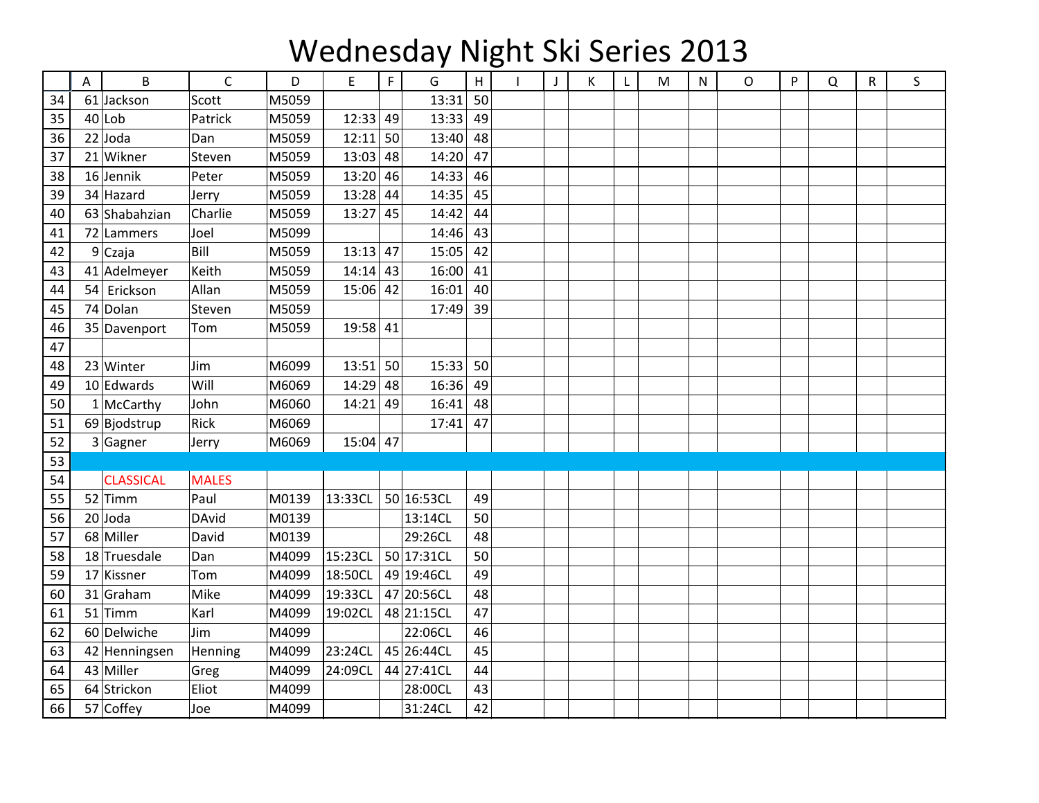## Wednesday Night Ski Series 2013

|    | A | B                | $\mathsf{C}$ | D     | E          | F  | G          | $\boldsymbol{\mathsf{H}}$ | $\mathbf{I}$ | К | L | M | N | O | P | Q | R | S |
|----|---|------------------|--------------|-------|------------|----|------------|---------------------------|--------------|---|---|---|---|---|---|---|---|---|
| 34 |   | 61 Jackson       | Scott        | M5059 |            |    | 13:31      | 50                        |              |   |   |   |   |   |   |   |   |   |
| 35 |   | $40$  Lob        | Patrick      | M5059 | 12:33      | 49 | 13:33      | 49                        |              |   |   |   |   |   |   |   |   |   |
| 36 |   | $22$ Joda        | Dan          | M5059 | $12:11$ 50 |    | 13:40      | 48                        |              |   |   |   |   |   |   |   |   |   |
| 37 |   | 21 Wikner        | Steven       | M5059 | $13:03$ 48 |    | 14:20      | 47                        |              |   |   |   |   |   |   |   |   |   |
| 38 |   | $16$ Jennik      | Peter        | M5059 | $13:20$ 46 |    | 14:33      | 46                        |              |   |   |   |   |   |   |   |   |   |
| 39 |   | 34 Hazard        | Jerry        | M5059 | 13:28      | 44 | 14:35      | 45                        |              |   |   |   |   |   |   |   |   |   |
| 40 |   | 63 Shabahzian    | Charlie      | M5059 | $13:27$ 45 |    | 14:42      | 44                        |              |   |   |   |   |   |   |   |   |   |
| 41 |   | 72 Lammers       | Joel         | M5099 |            |    | 14:46      | 43                        |              |   |   |   |   |   |   |   |   |   |
| 42 |   | 9Czaja           | Bill         | M5059 | $13:13$ 47 |    | 15:05      | 42                        |              |   |   |   |   |   |   |   |   |   |
| 43 |   | 41 Adelmeyer     | Keith        | M5059 | $14:14$ 43 |    | 16:00      | 41                        |              |   |   |   |   |   |   |   |   |   |
| 44 |   | 54 Erickson      | Allan        | M5059 | $15:06$ 42 |    | 16:01      | 40                        |              |   |   |   |   |   |   |   |   |   |
| 45 |   | 74 Dolan         | Steven       | M5059 |            |    | 17:49      | 39                        |              |   |   |   |   |   |   |   |   |   |
| 46 |   | 35 Davenport     | Tom          | M5059 | 19:58 41   |    |            |                           |              |   |   |   |   |   |   |   |   |   |
| 47 |   |                  |              |       |            |    |            |                           |              |   |   |   |   |   |   |   |   |   |
| 48 |   | 23 Winter        | Jim          | M6099 | $13:51$ 50 |    | 15:33      | 50                        |              |   |   |   |   |   |   |   |   |   |
| 49 |   | 10 Edwards       | Will         | M6069 | 14:29      | 48 | 16:36      | 49                        |              |   |   |   |   |   |   |   |   |   |
| 50 |   | $1$ McCarthy     | John         | M6060 | $14:21$ 49 |    | 16:41      | 48                        |              |   |   |   |   |   |   |   |   |   |
| 51 |   | 69 Bjodstrup     | Rick         | M6069 |            |    | 17:41      | 47                        |              |   |   |   |   |   |   |   |   |   |
| 52 |   | $3$ Gagner       | Jerry        | M6069 | $15:04$ 47 |    |            |                           |              |   |   |   |   |   |   |   |   |   |
| 53 |   |                  |              |       |            |    |            |                           |              |   |   |   |   |   |   |   |   |   |
| 54 |   | <b>CLASSICAL</b> | <b>MALES</b> |       |            |    |            |                           |              |   |   |   |   |   |   |   |   |   |
| 55 |   | $52$ Timm        | Paul         | M0139 | 13:33CL    |    | 50 16:53CL | 49                        |              |   |   |   |   |   |   |   |   |   |
| 56 |   | $20$ Joda        | <b>DAvid</b> | M0139 |            |    | 13:14CL    | 50                        |              |   |   |   |   |   |   |   |   |   |
| 57 |   | 68 Miller        | David        | M0139 |            |    | 29:26CL    | 48                        |              |   |   |   |   |   |   |   |   |   |
| 58 |   | 18 Truesdale     | Dan          | M4099 | 15:23CL    |    | 50 17:31CL | 50                        |              |   |   |   |   |   |   |   |   |   |
| 59 |   | 17 Kissner       | Tom          | M4099 | 18:50CL    |    | 49 19:46CL | 49                        |              |   |   |   |   |   |   |   |   |   |
| 60 |   | 31 Graham        | Mike         | M4099 | 19:33CL    |    | 47 20:56CL | 48                        |              |   |   |   |   |   |   |   |   |   |
| 61 |   | $51$ Timm        | Karl         | M4099 | 19:02CL    |    | 48 21:15CL | 47                        |              |   |   |   |   |   |   |   |   |   |
| 62 |   | 60 Delwiche      | Jim          | M4099 |            |    | 22:06CL    | 46                        |              |   |   |   |   |   |   |   |   |   |
| 63 |   | 42 Henningsen    | Henning      | M4099 | 23:24CL    |    | 45 26:44CL | 45                        |              |   |   |   |   |   |   |   |   |   |
| 64 |   | 43 Miller        | Greg         | M4099 | 24:09CL    |    | 44 27:41CL | 44                        |              |   |   |   |   |   |   |   |   |   |
| 65 |   | 64 Strickon      | Eliot        | M4099 |            |    | 28:00CL    | 43                        |              |   |   |   |   |   |   |   |   |   |
| 66 |   | 57 Coffey        | Joe          | M4099 |            |    | 31:24CL    | 42                        |              |   |   |   |   |   |   |   |   |   |